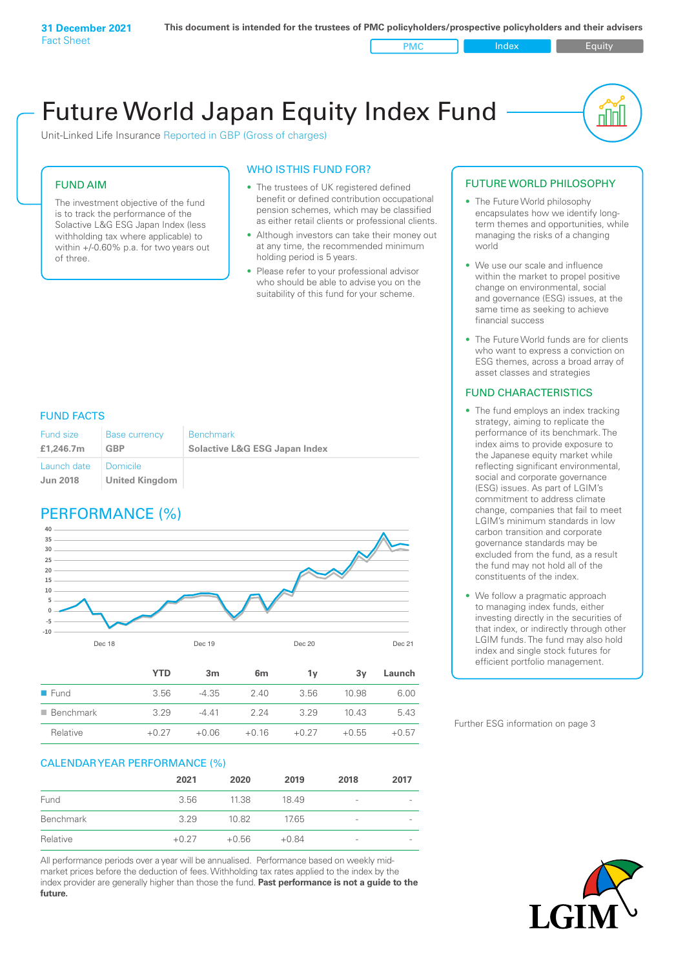Unit-Linked Life Insurance Reported in GBP (Gross of charges)

#### FUND AIM

The investment objective of the fund is to track the performance of the Solactive L&G ESG Japan Index (less withholding tax where applicable) to within +/-0.60% p.a. for two years out of three.

#### WHO IS THIS FUND FOR?

- The trustees of UK registered defined benefit or defined contribution occupational pension schemes, which may be classified as either retail clients or professional clients.
- Although investors can take their money out at any time, the recommended minimum holding period is 5 years.
- Please refer to your professional advisor who should be able to advise you on the suitability of this fund for your scheme.

#### FUND FACTS

| Fund size<br>£1,246.7m | <b>Base currency</b><br>GBP | <b>Benchmark</b><br><b>Solactive L&amp;G ESG Japan Index</b> |
|------------------------|-----------------------------|--------------------------------------------------------------|
| Launch date            | Domicile                    |                                                              |
| <b>Jun 2018</b>        | <b>United Kingdom</b>       |                                                              |

### PERFORMANCE (%)



#### CALENDAR YEAR PERFORMANCE (%)

|           | 2021    | 2020    | 2019    | 2018 | 2017                     |
|-----------|---------|---------|---------|------|--------------------------|
| Fund      | 3.56    | 11.38   | 18.49   | -    | $\overline{\phantom{0}}$ |
| Benchmark | 3.29    | 10.82   | 17.65   | -    | $\overline{\phantom{0}}$ |
| Relative  | $+0.27$ | $+0.56$ | $+0.84$ | -    | $\overline{\phantom{0}}$ |

Relative +0.27 +0.06 +0.16 +0.27 +0.55 +0.57

All performance periods over a year will be annualised. Performance based on weekly midmarket prices before the deduction of fees. Withholding tax rates applied to the index by the index provider are generally higher than those the fund. **Past performance is not a guide to the future.**

#### FUTURE WORLD PHILOSOPHY

• The Future World philosophy encapsulates how we identify longterm themes and opportunities, while managing the risks of a changing world

nl Inl

- We use our scale and influence within the market to propel positive change on environmental, social and governance (ESG) issues, at the same time as seeking to achieve financial success
- The Future World funds are for clients who want to express a conviction on ESG themes, across a broad array of asset classes and strategies

#### FUND CHARACTERISTICS

- The fund employs an index tracking strategy, aiming to replicate the performance of its benchmark. The index aims to provide exposure to the Japanese equity market while reflecting significant environmental, social and corporate governance (ESG) issues. As part of LGIM's commitment to address climate change, companies that fail to meet LGIM's minimum standards in low carbon transition and corporate governance standards may be excluded from the fund, as a result the fund may not hold all of the constituents of the index.
- We follow a pragmatic approach to managing index funds, either investing directly in the securities of that index, or indirectly through other LGIM funds. The fund may also hold index and single stock futures for efficient portfolio management.

Further ESG information on page 3

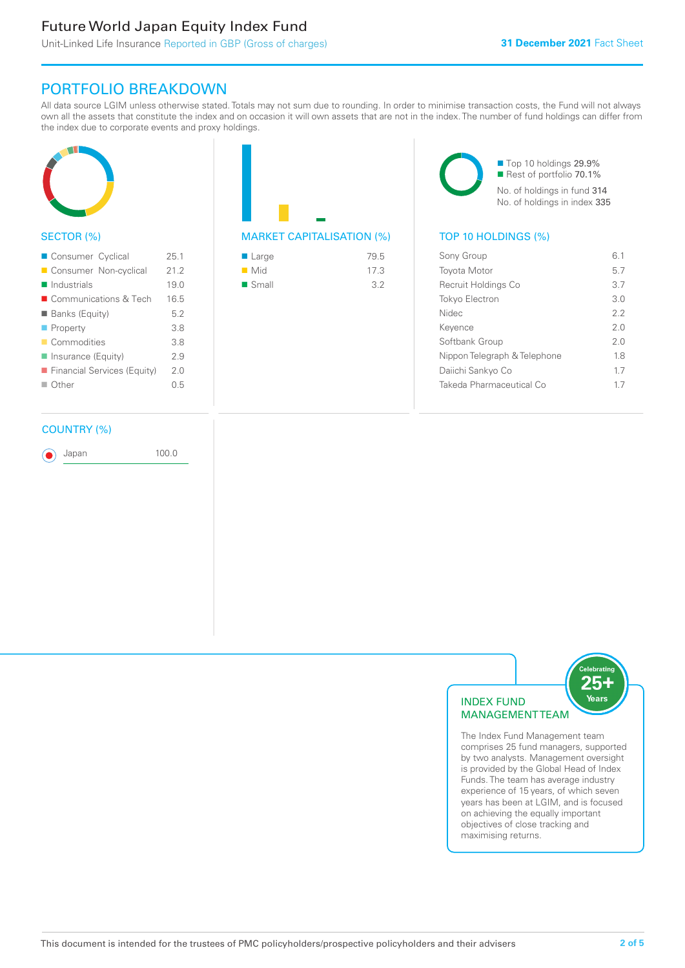## PORTFOLIO BREAKDOWN

All data source LGIM unless otherwise stated. Totals may not sum due to rounding. In order to minimise transaction costs, the Fund will not always own all the assets that constitute the index and on occasion it will own assets that are not in the index. The number of fund holdings can differ from the index due to corporate events and proxy holdings.



#### SECTOR (%)

| Consumer Cyclical           | 25.1 |
|-----------------------------|------|
| Consumer Non-cyclical       | 21.2 |
| $\blacksquare$ Industrials  | 19.0 |
| ■ Communications & Tech     | 16.5 |
| <b>Banks (Equity)</b>       | 5.2  |
| $\blacksquare$ Property     | 3.8  |
| Commodities                 | 3.8  |
| Insurance (Equity)          | 2.9  |
| Financial Services (Equity) | 2.0  |
| $\Box$ Other                | 0.5  |
|                             |      |

#### COUNTRY (%)

Japan 100.0

MARKET CAPITALISATION (%) TOP 10 HOLDINGS (%)

| ■ Large              | 79.5 |
|----------------------|------|
| $\blacksquare$ Mid   | 17.3 |
| $\blacksquare$ Small | 3.2  |

■ Top 10 holdings 29.9% Rest of portfolio 70.1% No. of holdings in fund 314 No. of holdings in index 335

| Sony Group                   | 61  |
|------------------------------|-----|
| <b>Toyota Motor</b>          | 57  |
| Recruit Holdings Co          | 3.7 |
| Tokyo Electron               | 3 O |
| <b>Nidec</b>                 | 22  |
| Kevence                      | 20  |
| Softbank Group               | 2.0 |
| Nippon Telegraph & Telephone | 1.8 |
| Daiichi Sankyo Co            | 17  |
| Takeda Pharmaceutical Co     | 17  |
|                              |     |



The Index Fund Management team comprises 25 fund managers, supported by two analysts. Management oversight is provided by the Global Head of Index Funds. The team has average industry experience of 15 years, of which seven years has been at LGIM, and is focused on achieving the equally important objectives of close tracking and maximising returns.

Years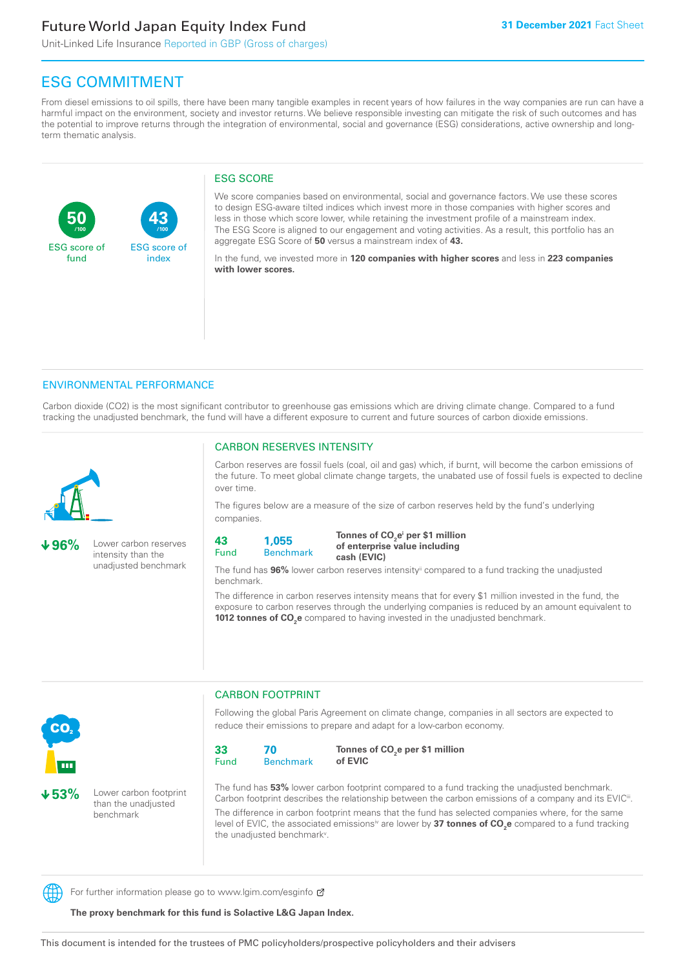**43**

ESG score of index

Unit-Linked Life Insurance Reported in GBP (Gross of charges)

### ESG COMMITMENT

From diesel emissions to oil spills, there have been many tangible examples in recent years of how failures in the way companies are run can have a harmful impact on the environment, society and investor returns. We believe responsible investing can mitigate the risk of such outcomes and has the potential to improve returns through the integration of environmental, social and governance (ESG) considerations, active ownership and longterm thematic analysis.

#### ESG SCORE

We score companies based on environmental, social and governance factors. We use these scores to design ESG-aware tilted indices which invest more in those companies with higher scores and less in those which score lower, while retaining the investment profile of a mainstream index. The ESG Score is aligned to our engagement and voting activities. As a result, this portfolio has an aggregate ESG Score of **50** versus a mainstream index of **43.**

In the fund, we invested more in **120 companies with higher scores** and less in **223 companies with lower scores.**

#### ENVIRONMENTAL PERFORMANCE

**/100 /100**

Carbon dioxide (CO2) is the most significant contributor to greenhouse gas emissions which are driving climate change. Compared to a fund tracking the unadjusted benchmark, the fund will have a different exposure to current and future sources of carbon dioxide emissions.



**50**

ESG score of fund

**96%** Lower carbon reserves intensity than the unadjusted benchmark

#### CARBON RESERVES INTENSITY

Carbon reserves are fossil fuels (coal, oil and gas) which, if burnt, will become the carbon emissions of the future. To meet global climate change targets, the unabated use of fossil fuels is expected to decline over time.

The figures below are a measure of the size of carbon reserves held by the fund's underlying companies.

**43** Fund **1,055**

Benchmark

Tonnes of CO<sub>2</sub>e<sup>i</sup> per \$1 million **of enterprise value including cash (EVIC)**

The fund has **96%** lower carbon reserves intensityii compared to a fund tracking the unadjusted benchmark.

The difference in carbon reserves intensity means that for every \$1 million invested in the fund, the exposure to carbon reserves through the underlying companies is reduced by an amount equivalent to **1012 tonnes of CO<sub>2</sub>e** compared to having invested in the unadjusted benchmark.



**53%** Lower carbon footprint than the unadjusted benchmark

CARBON FOOTPRINT

Following the global Paris Agreement on climate change, companies in all sectors are expected to reduce their emissions to prepare and adapt for a low-carbon economy.



Tonnes of CO<sub>2</sub>e per \$1 million **of EVIC**

The fund has **53%** lower carbon footprint compared to a fund tracking the unadjusted benchmark. Carbon footprint describes the relationship between the carbon emissions of a company and its EVIC<sup>ii</sup>. The difference in carbon footprint means that the fund has selected companies where, for the same level of EVIC, the associated emissionsi<sup>v</sup> are lower by **37 tonnes of CO<sub>2</sub>e** compared to a fund tracking the unadjusted benchmark<sup>v</sup>.

For further information please go to www.lgim.com/esginfo  $\sigma$ 

**The proxy benchmark for this fund is Solactive L&G Japan Index.**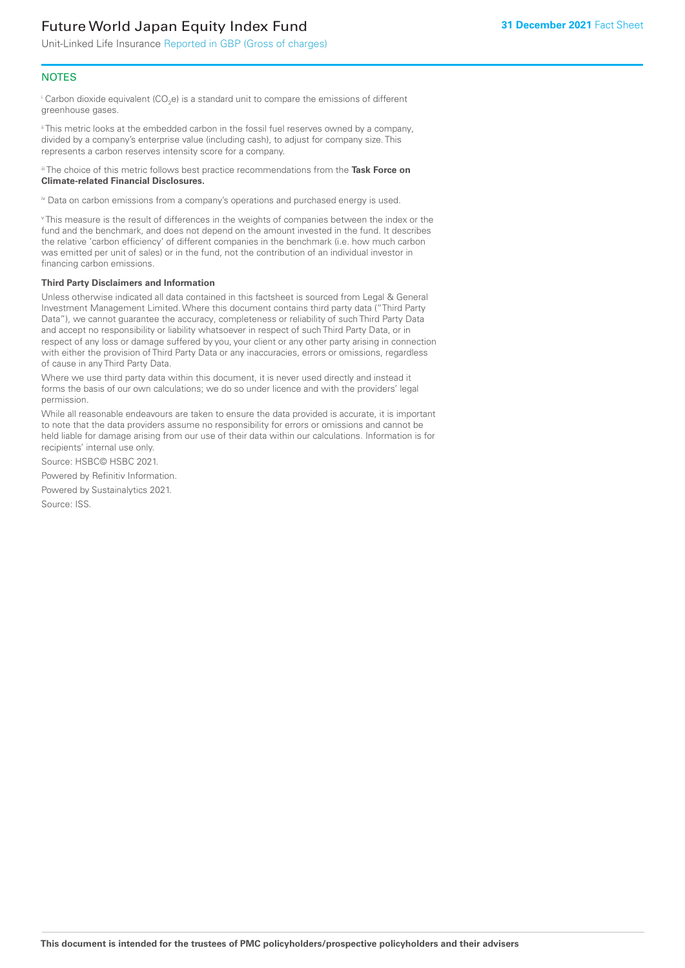Unit-Linked Life Insurance Reported in GBP (Gross of charges)

#### **NOTES**

 $^\mathrm{i}$  Carbon dioxide equivalent (CO<sub>2</sub>e) is a standard unit to compare the emissions of different greenhouse gases.

ii This metric looks at the embedded carbon in the fossil fuel reserves owned by a company, divided by a company's enterprise value (including cash), to adjust for company size. This represents a carbon reserves intensity score for a company.

iii The choice of this metric follows best practice recommendations from the **Task Force on Climate-related Financial Disclosures.**

iv Data on carbon emissions from a company's operations and purchased energy is used.

v This measure is the result of differences in the weights of companies between the index or the fund and the benchmark, and does not depend on the amount invested in the fund. It describes the relative 'carbon efficiency' of different companies in the benchmark (i.e. how much carbon was emitted per unit of sales) or in the fund, not the contribution of an individual investor in financing carbon emissions.

#### **Third Party Disclaimers and Information**

Unless otherwise indicated all data contained in this factsheet is sourced from Legal & General Investment Management Limited. Where this document contains third party data ("Third Party Data"), we cannot guarantee the accuracy, completeness or reliability of such Third Party Data and accept no responsibility or liability whatsoever in respect of such Third Party Data, or in respect of any loss or damage suffered by you, your client or any other party arising in connection with either the provision of Third Party Data or any inaccuracies, errors or omissions, regardless of cause in any Third Party Data.

Where we use third party data within this document, it is never used directly and instead it forms the basis of our own calculations; we do so under licence and with the providers' legal permission.

While all reasonable endeavours are taken to ensure the data provided is accurate, it is important to note that the data providers assume no responsibility for errors or omissions and cannot be held liable for damage arising from our use of their data within our calculations. Information is for recipients' internal use only.

Source: HSBC© HSBC 2021.

Powered by Refinitiv Information.

Powered by Sustainalytics 2021.

Source: ISS.